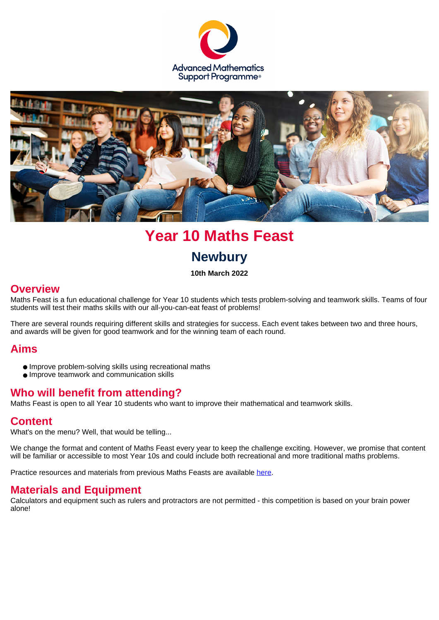



# **Year 10 Maths Feast Newbury**

**10th March 2022**

### **Overview**

Maths Feast is a fun educational challenge for Year 10 students which tests problem-solving and teamwork skills. Teams of four students will test their maths skills with our all-you-can-eat feast of problems!

There are several rounds requiring different skills and strategies for success. Each event takes between two and three hours, and awards will be given for good teamwork and for the winning team of each round.

### **Aims**

- Improve problem-solving skills using recreational maths
- Improve teamwork and communication skills

# **Who will benefit from attending?**

Maths Feast is open to all Year 10 students who want to improve their mathematical and teamwork skills.

### **Content**

What's on the menu? Well, that would be telling...

We change the format and content of Maths Feast every year to keep the challenge exciting. However, we promise that content will be familiar or accessible to most Year 10s and could include both recreational and more traditional maths problems.

Practice resources and materials from previous Maths Feasts are available [here](https://amsp.org.uk/resource/maths-feast-materials).

### **Materials and Equipment**

Calculators and equipment such as rulers and protractors are not permitted - this competition is based on your brain power alone!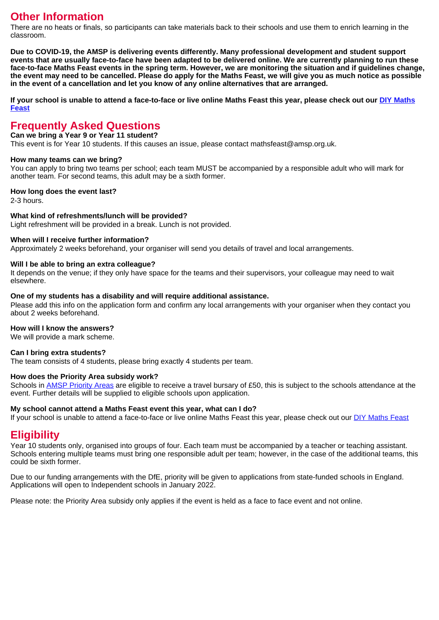## **Other Information**

There are no heats or finals, so participants can take materials back to their schools and use them to enrich learning in the classroom.

**Due to COVID-19, the AMSP is delivering events differently. Many professional development and student support events that are usually face-to-face have been adapted to be delivered online. We are currently planning to run these face-to-face Maths Feast events in the spring term. However, we are monitoring the situation and if guidelines change, the event may need to be cancelled. Please do apply for the Maths Feast, we will give you as much notice as possible in the event of a cancellation and let you know of any online alternatives that are arranged.**

**If your school is unable to attend a face-to-face or live online Maths Feast this year, please check out our [DIY Maths](https://amsp.org.uk/resource/diy-maths-feast) [Feast](https://amsp.org.uk/resource/diy-maths-feast)**

# **Frequently Asked Questions**

#### **Can we bring a Year 9 or Year 11 student?**

This event is for Year 10 students. If this causes an issue, please contact mathsfeast@amsp.org.uk.

#### **How many teams can we bring?**

You can apply to bring two teams per school; each team MUST be accompanied by a responsible adult who will mark for another team. For second teams, this adult may be a sixth former.

#### **How long does the event last?**

2-3 hours.

#### **What kind of refreshments/lunch will be provided?**

Light refreshment will be provided in a break. Lunch is not provided.

#### **When will I receive further information?**

Approximately 2 weeks beforehand, your organiser will send you details of travel and local arrangements.

#### **Will I be able to bring an extra colleague?**

It depends on the venue; if they only have space for the teams and their supervisors, your colleague may need to wait elsewhere.

#### **One of my students has a disability and will require additional assistance.**

Please add this info on the application form and confirm any local arrangements with your organiser when they contact you about 2 weeks beforehand.

#### **How will I know the answers?**

We will provide a mark scheme.

#### **Can I bring extra students?**

The team consists of 4 students, please bring exactly 4 students per team.

#### **How does the Priority Area subsidy work?**

Schools in [AMSP Priority Areas]("https://amsp.org.uk/about/priority-areas") are eligible to receive a travel bursary of £50, this is subject to the schools attendance at the event. Further details will be supplied to eligible schools upon application.

#### **My school cannot attend a Maths Feast event this year, what can I do?**

If your school is unable to attend a face-to-face or live online Maths Feast this year, please check out our [DIY Maths Feast]("https://amsp.org.uk/resource/diy-maths-feast")

### **Eligibility**

Year 10 students only, organised into groups of four. Each team must be accompanied by a teacher or teaching assistant. Schools entering multiple teams must bring one responsible adult per team; however, in the case of the additional teams, this could be sixth former.

Due to our funding arrangements with the DfE, priority will be given to applications from state-funded schools in England. Applications will open to Independent schools in January 2022.

Please note: the Priority Area subsidy only applies if the event is held as a face to face event and not online.